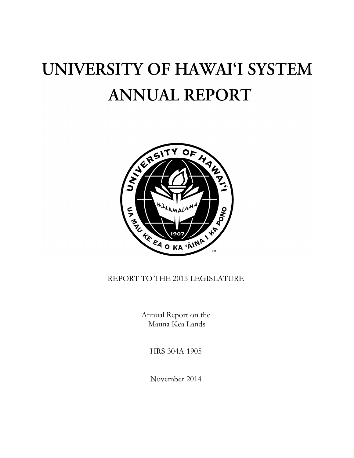# UNIVERSITY OF HAWAI'I SYSTEM **ANNUAL REPORT**



# REPORT TO THE 2015 LEGISLATURE

Annual Report on the Mauna Kea Lands

HRS 304A-1905

November 2014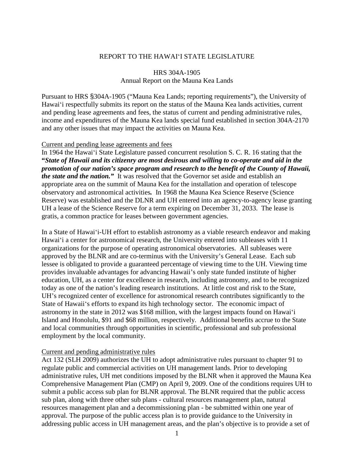## REPORT TO THE HAWAIʻI STATE LEGISLATURE

# HRS 304A-1905 Annual Report on the Mauna Kea Lands

Pursuant to HRS §304A-1905 ("Mauna Kea Lands; reporting requirements"), the University of Hawaiʻi respectfully submits its report on the status of the Mauna Kea lands activities, current and pending lease agreements and fees, the status of current and pending administrative rules, income and expenditures of the Mauna Kea lands special fund established in section 304A-2170 and any other issues that may impact the activities on Mauna Kea.

#### Current and pending lease agreements and fees

In 1964 the Hawaiʻi State Legislature passed concurrent resolution S. C. R. 16 stating that the **"***State of Hawaii and its citizenry are most desirous and willing to co-operate and aid in the promotion of our nation's space program and research to the benefit of the County of Hawaii, the state and the nation."* It was resolved that the Governor set aside and establish an appropriate area on the summit of Mauna Kea for the installation and operation of telescope observatory and astronomical activities*.* In 1968 the Mauna Kea Science Reserve (Science Reserve) was established and the DLNR and UH entered into an agency-to-agency lease granting UH a lease of the Science Reserve for a term expiring on December 31, 2033. The lease is gratis, a common practice for leases between government agencies.

In a State of Hawaiʻi-UH effort to establish astronomy as a viable research endeavor and making Hawaiʻi a center for astronomical research, the University entered into subleases with 11 organizations for the purpose of operating astronomical observatories. All subleases were approved by the BLNR and are co-terminus with the University's General Lease. Each sub lessee is obligated to provide a guaranteed percentage of viewing time to the UH. Viewing time provides invaluable advantages for advancing Hawaii's only state funded institute of higher education, UH, as a center for excellence in research, including astronomy, and to be recognized today as one of the nation's leading research institutions. At little cost and risk to the State, UH's recognized center of excellence for astronomical research contributes significantly to the State of Hawaiiʻs efforts to expand its high technology sector. The economic impact of astronomy in the state in 2012 was \$168 million, with the largest impacts found on Hawaiʻi Island and Honolulu, \$91 and \$68 million, respectively. Additional benefits accrue to the State and local communities through opportunities in scientific, professional and sub professional employment by the local community.

#### Current and pending administrative rules

Act 132 (SLH 2009) authorizes the UH to adopt administrative rules pursuant to chapter 91 to regulate public and commercial activities on UH management lands. Prior to developing administrative rules, UH met conditions imposed by the BLNR when it approved the Mauna Kea Comprehensive Management Plan (CMP) on April 9, 2009. One of the conditions requires UH to submit a public access sub plan for BLNR approval. The BLNR required that the public access sub plan, along with three other sub plans - cultural resources management plan, natural resources management plan and a decommissioning plan - be submitted within one year of approval. The purpose of the public access plan is to provide guidance to the University in addressing public access in UH management areas, and the plan's objective is to provide a set of